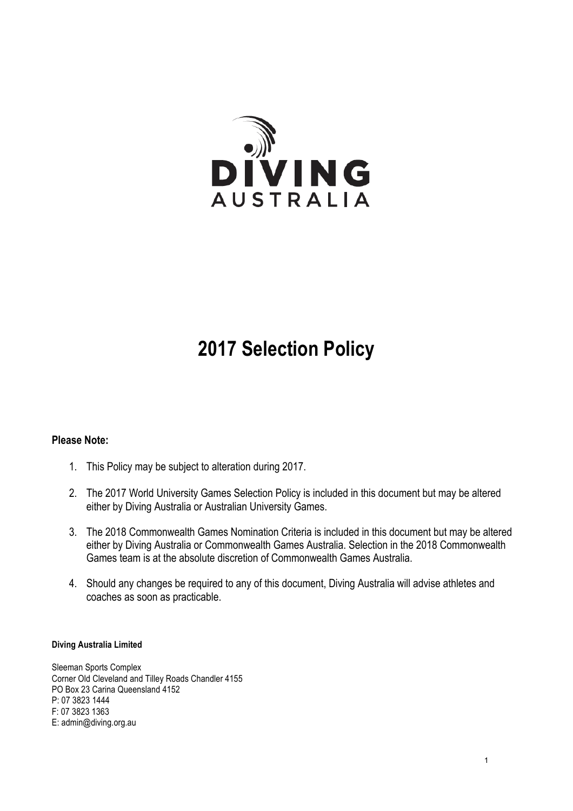

# **2017 Selection Policy**

### **Please Note:**

- 1. This Policy may be subject to alteration during 2017.
- 2. The 2017 World University Games Selection Policy is included in this document but may be altered either by Diving Australia or Australian University Games.
- 3. The 2018 Commonwealth Games Nomination Criteria is included in this document but may be altered either by Diving Australia or Commonwealth Games Australia. Selection in the 2018 Commonwealth Games team is at the absolute discretion of Commonwealth Games Australia.
- 4. Should any changes be required to any of this document, Diving Australia will advise athletes and coaches as soon as practicable.

#### **Diving Australia Limited**

Sleeman Sports Complex Corner Old Cleveland and Tilley Roads Chandler 4155 PO Box 23 Carina Queensland 4152 P: 07 3823 1444 F: 07 3823 1363 E: admin@diving.org.au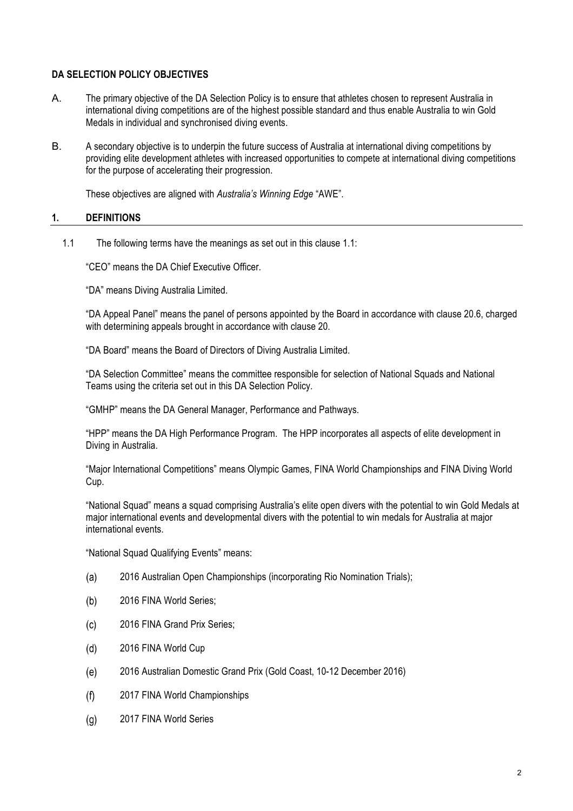### **DA SELECTION POLICY OBJECTIVES**

- A. The primary objective of the DA Selection Policy is to ensure that athletes chosen to represent Australia in international diving competitions are of the highest possible standard and thus enable Australia to win Gold Medals in individual and synchronised diving events.
- B. A secondary objective is to underpin the future success of Australia at international diving competitions by providing elite development athletes with increased opportunities to compete at international diving competitions for the purpose of accelerating their progression.

These objectives are aligned with *Australia's Winning Edge* "AWE".

### **1. DEFINITIONS**

1.1 The following terms have the meanings as set out in this clause 1.1:

"CEO" means the DA Chief Executive Officer.

"DA" means Diving Australia Limited.

"DA Appeal Panel" means the panel of persons appointed by the Board in accordance with clause 20.6, charged with determining appeals brought in accordance with clause 20.

"DA Board" means the Board of Directors of Diving Australia Limited.

"DA Selection Committee" means the committee responsible for selection of National Squads and National Teams using the criteria set out in this DA Selection Policy.

"GMHP" means the DA General Manager, Performance and Pathways.

"HPP" means the DA High Performance Program. The HPP incorporates all aspects of elite development in Diving in Australia.

"Major International Competitions" means Olympic Games, FINA World Championships and FINA Diving World Cup.

"National Squad" means a squad comprising Australia's elite open divers with the potential to win Gold Medals at major international events and developmental divers with the potential to win medals for Australia at major international events.

"National Squad Qualifying Events" means:

- $(a)$ 2016 Australian Open Championships (incorporating Rio Nomination Trials);
- $(b)$ 2016 FINA World Series;
- 2016 FINA Grand Prix Series;  $(c)$
- 2016 FINA World Cup  $(d)$
- 2016 Australian Domestic Grand Prix (Gold Coast, 10-12 December 2016)  $(e)$
- $(f)$ 2017 FINA World Championships
- $(a)$ 2017 FINA World Series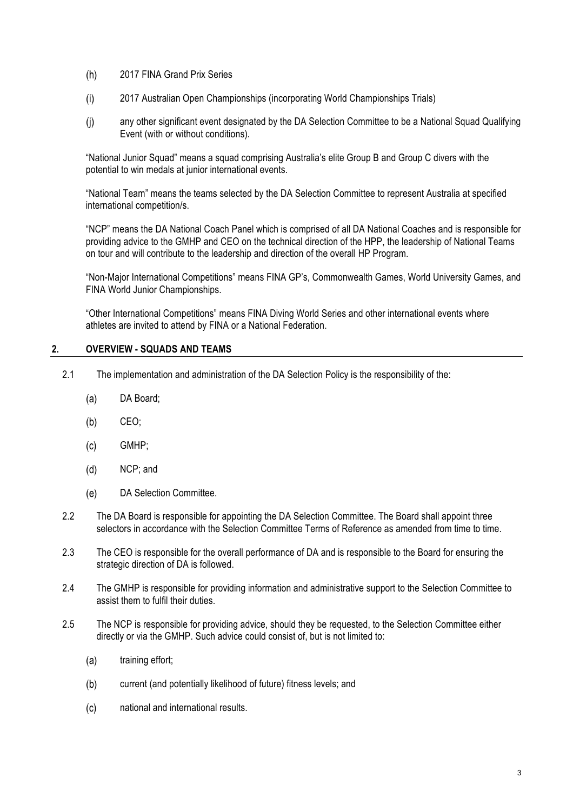- $(h)$ 2017 FINA Grand Prix Series
- $(i)$ 2017 Australian Open Championships (incorporating World Championships Trials)
- any other significant event designated by the DA Selection Committee to be a National Squad Qualifying  $(i)$ Event (with or without conditions).

"National Junior Squad" means a squad comprising Australia's elite Group B and Group C divers with the potential to win medals at junior international events.

"National Team" means the teams selected by the DA Selection Committee to represent Australia at specified international competition/s.

"NCP" means the DA National Coach Panel which is comprised of all DA National Coaches and is responsible for providing advice to the GMHP and CEO on the technical direction of the HPP, the leadership of National Teams on tour and will contribute to the leadership and direction of the overall HP Program.

"Non-Major International Competitions" means FINA GP's, Commonwealth Games, World University Games, and FINA World Junior Championships.

"Other International Competitions" means FINA Diving World Series and other international events where athletes are invited to attend by FINA or a National Federation.

#### **2. OVERVIEW - SQUADS AND TEAMS**

- 2.1 The implementation and administration of the DA Selection Policy is the responsibility of the:
	- $(a)$ DA Board;
	- $(b)$ CEO;
	- $(c)$ GMHP;
	- $(d)$ NCP; and
	- $(e)$ DA Selection Committee.
- 2.2 The DA Board is responsible for appointing the DA Selection Committee. The Board shall appoint three selectors in accordance with the Selection Committee Terms of Reference as amended from time to time.
- 2.3 The CEO is responsible for the overall performance of DA and is responsible to the Board for ensuring the strategic direction of DA is followed.
- 2.4 The GMHP is responsible for providing information and administrative support to the Selection Committee to assist them to fulfil their duties.
- 2.5 The NCP is responsible for providing advice, should they be requested, to the Selection Committee either directly or via the GMHP. Such advice could consist of, but is not limited to:
	- $(a)$ training effort;
	- $(b)$ current (and potentially likelihood of future) fitness levels; and
	- $(c)$ national and international results.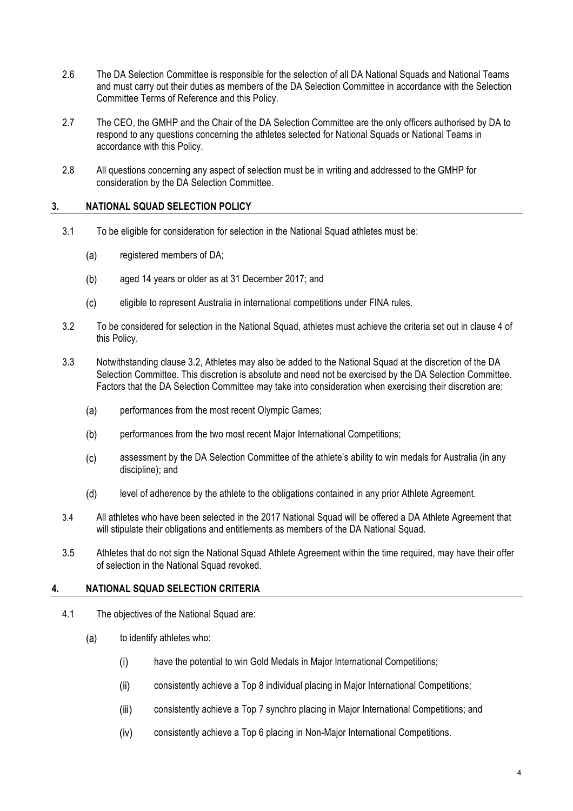- 2.6 The DA Selection Committee is responsible for the selection of all DA National Squads and National Teams and must carry out their duties as members of the DA Selection Committee in accordance with the Selection Committee Terms of Reference and this Policy.
- 2.7 The CEO, the GMHP and the Chair of the DA Selection Committee are the only officers authorised by DA to respond to any questions concerning the athletes selected for National Squads or National Teams in accordance with this Policy.
- 2.8 All questions concerning any aspect of selection must be in writing and addressed to the GMHP for consideration by the DA Selection Committee.

#### **3. NATIONAL SQUAD SELECTION POLICY**

- 3.1 To be eligible for consideration for selection in the National Squad athletes must be:
	- $(a)$ registered members of DA;
	- $(b)$ aged 14 years or older as at 31 December 2017; and
	- $(c)$ eligible to represent Australia in international competitions under FINA rules.
- 3.2 To be considered for selection in the National Squad, athletes must achieve the criteria set out in clause 4 of this Policy.
- 3.3 Notwithstanding clause 3.2, Athletes may also be added to the National Squad at the discretion of the DA Selection Committee. This discretion is absolute and need not be exercised by the DA Selection Committee. Factors that the DA Selection Committee may take into consideration when exercising their discretion are:
	- $(a)$ performances from the most recent Olympic Games;
	- $(b)$ performances from the two most recent Major International Competitions;
	- $(c)$ assessment by the DA Selection Committee of the athlete's ability to win medals for Australia (in any discipline); and
	- $(d)$ level of adherence by the athlete to the obligations contained in any prior Athlete Agreement.
- 3.4 All athletes who have been selected in the 2017 National Squad will be offered a DA Athlete Agreement that will stipulate their obligations and entitlements as members of the DA National Squad.
- 3.5 Athletes that do not sign the National Squad Athlete Agreement within the time required, may have their offer of selection in the National Squad revoked.

### **4. NATIONAL SQUAD SELECTION CRITERIA**

- 4.1 The objectives of the National Squad are:
	- $(a)$ to identify athletes who:
		- $(i)$ have the potential to win Gold Medals in Major International Competitions;
		- $(ii)$ consistently achieve a Top 8 individual placing in Major International Competitions;
		- $(iii)$ consistently achieve a Top 7 synchro placing in Major International Competitions; and
		- $(iv)$ consistently achieve a Top 6 placing in Non-Major International Competitions.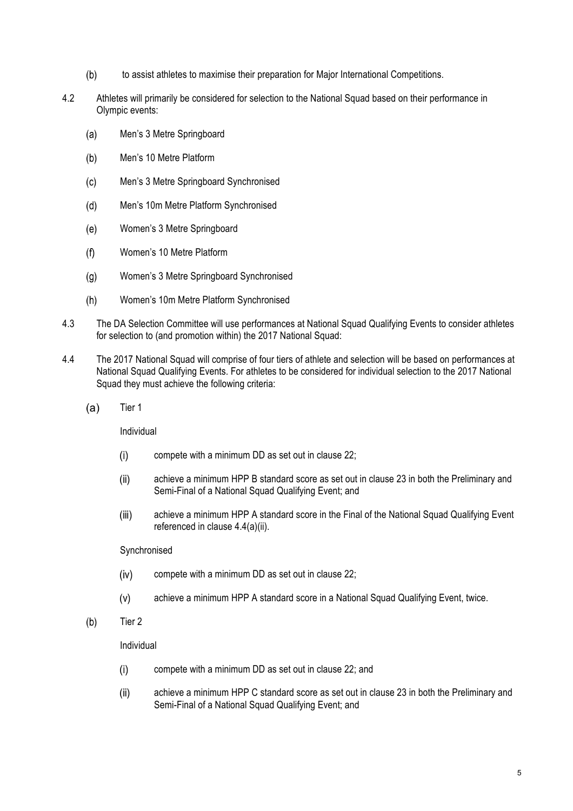- $(b)$ to assist athletes to maximise their preparation for Major International Competitions.
- 4.2 Athletes will primarily be considered for selection to the National Squad based on their performance in Olympic events:
	- Men's 3 Metre Springboard  $(a)$
	- Men's 10 Metre Platform  $(b)$
	- $(c)$ Men's 3 Metre Springboard Synchronised
	- $(d)$ Men's 10m Metre Platform Synchronised
	- $(e)$ Women's 3 Metre Springboard
	- $(f)$ Women's 10 Metre Platform
	- $(g)$ Women's 3 Metre Springboard Synchronised
	- Women's 10m Metre Platform Synchronised  $(h)$
- 4.3 The DA Selection Committee will use performances at National Squad Qualifying Events to consider athletes for selection to (and promotion within) the 2017 National Squad:
- 4.4 The 2017 National Squad will comprise of four tiers of athlete and selection will be based on performances at National Squad Qualifying Events. For athletes to be considered for individual selection to the 2017 National Squad they must achieve the following criteria:
	- $(a)$ Tier 1

Individual

- compete with a minimum DD as set out in clause 22;  $(i)$
- $(ii)$ achieve a minimum HPP B standard score as set out in clause 23 in both the Preliminary and Semi-Final of a National Squad Qualifying Event; and
- $(iii)$ achieve a minimum HPP A standard score in the Final of the National Squad Qualifying Event referenced in clause 4.4(a)(ii).

#### Synchronised

- compete with a minimum DD as set out in clause 22;  $(iv)$
- $(v)$ achieve a minimum HPP A standard score in a National Squad Qualifying Event, twice.
- $(b)$ Tier 2

#### Individual

- $(i)$ compete with a minimum DD as set out in clause 22; and
- $(ii)$ achieve a minimum HPP C standard score as set out in clause 23 in both the Preliminary and Semi-Final of a National Squad Qualifying Event; and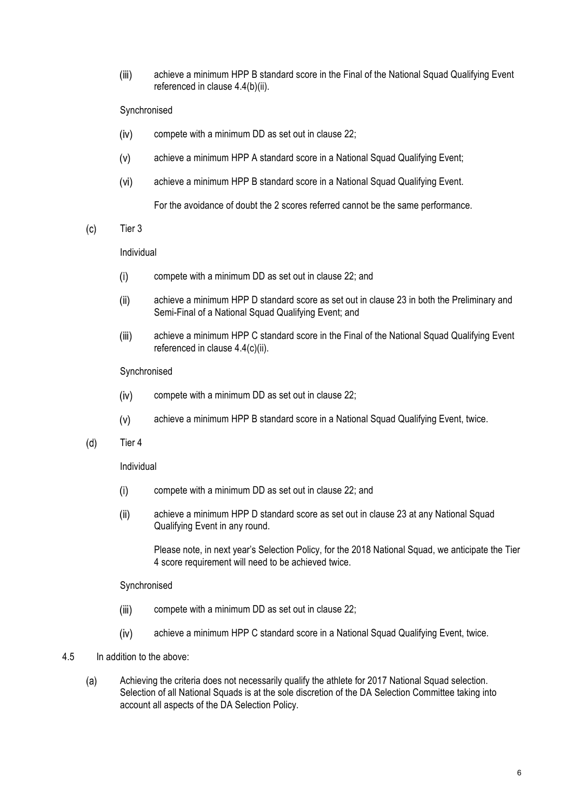$(iii)$ achieve a minimum HPP B standard score in the Final of the National Squad Qualifying Event referenced in clause 4.4(b)(ii).

#### Synchronised

- compete with a minimum DD as set out in clause 22;  $(iv)$
- achieve a minimum HPP A standard score in a National Squad Qualifying Event;  $(v)$
- $(vi)$ achieve a minimum HPP B standard score in a National Squad Qualifying Event.

For the avoidance of doubt the 2 scores referred cannot be the same performance.

#### $(c)$ Tier 3

#### Individual

- $(i)$ compete with a minimum DD as set out in clause 22; and
- achieve a minimum HPP D standard score as set out in clause 23 in both the Preliminary and  $(ii)$ Semi-Final of a National Squad Qualifying Event; and
- achieve a minimum HPP C standard score in the Final of the National Squad Qualifying Event  $(iii)$ referenced in clause 4.4(c)(ii).

#### Synchronised

- compete with a minimum DD as set out in clause 22;  $(iv)$
- achieve a minimum HPP B standard score in a National Squad Qualifying Event, twice.  $(v)$
- $(d)$ Tier 4

#### Individual

- $(i)$ compete with a minimum DD as set out in clause 22; and
- $(ii)$ achieve a minimum HPP D standard score as set out in clause 23 at any National Squad Qualifying Event in any round.

Please note, in next year's Selection Policy, for the 2018 National Squad, we anticipate the Tier 4 score requirement will need to be achieved twice.

#### Synchronised

- $(iii)$ compete with a minimum DD as set out in clause 22;
- achieve a minimum HPP C standard score in a National Squad Qualifying Event, twice.  $(iv)$
- 4.5 In addition to the above:
	- Achieving the criteria does not necessarily qualify the athlete for 2017 National Squad selection.  $(a)$ Selection of all National Squads is at the sole discretion of the DA Selection Committee taking into account all aspects of the DA Selection Policy.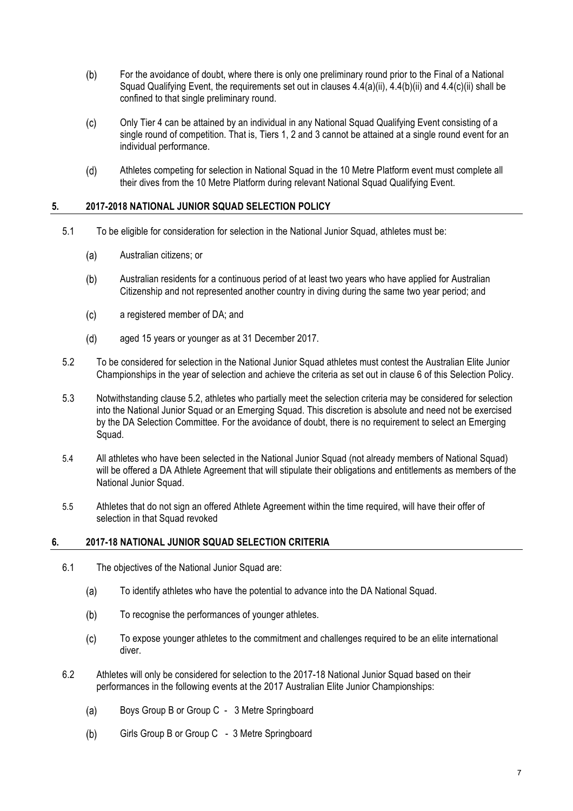- $(b)$ For the avoidance of doubt, where there is only one preliminary round prior to the Final of a National Squad Qualifying Event, the requirements set out in clauses 4.4(a)(ii), 4.4(b)(ii) and 4.4(c)(ii) shall be confined to that single preliminary round.
- $(c)$ Only Tier 4 can be attained by an individual in any National Squad Qualifying Event consisting of a single round of competition. That is, Tiers 1, 2 and 3 cannot be attained at a single round event for an individual performance.
- $(d)$ Athletes competing for selection in National Squad in the 10 Metre Platform event must complete all their dives from the 10 Metre Platform during relevant National Squad Qualifying Event.

#### **5. 2017-2018 NATIONAL JUNIOR SQUAD SELECTION POLICY**

- 5.1 To be eligible for consideration for selection in the National Junior Squad, athletes must be:
	- $(a)$ Australian citizens; or
	- $(b)$ Australian residents for a continuous period of at least two years who have applied for Australian Citizenship and not represented another country in diving during the same two year period; and
	- $(c)$ a registered member of DA; and
	- aged 15 years or younger as at 31 December 2017.  $(d)$
- 5.2 To be considered for selection in the National Junior Squad athletes must contest the Australian Elite Junior Championships in the year of selection and achieve the criteria as set out in clause 6 of this Selection Policy.
- 5.3 Notwithstanding clause 5.2, athletes who partially meet the selection criteria may be considered for selection into the National Junior Squad or an Emerging Squad. This discretion is absolute and need not be exercised by the DA Selection Committee. For the avoidance of doubt, there is no requirement to select an Emerging Squad.
- 5.4 All athletes who have been selected in the National Junior Squad (not already members of National Squad) will be offered a DA Athlete Agreement that will stipulate their obligations and entitlements as members of the National Junior Squad.
- 5.5 Athletes that do not sign an offered Athlete Agreement within the time required, will have their offer of selection in that Squad revoked

#### **6. 2017-18 NATIONAL JUNIOR SQUAD SELECTION CRITERIA**

- 6.1 The objectives of the National Junior Squad are:
	- To identify athletes who have the potential to advance into the DA National Squad.  $(a)$
	- $(b)$ To recognise the performances of younger athletes.
	- $(c)$ To expose younger athletes to the commitment and challenges required to be an elite international diver.
- 6.2 Athletes will only be considered for selection to the 2017-18 National Junior Squad based on their performances in the following events at the 2017 Australian Elite Junior Championships:
	- $(a)$ Boys Group B or Group C - 3 Metre Springboard
	- $(b)$ Girls Group B or Group C - 3 Metre Springboard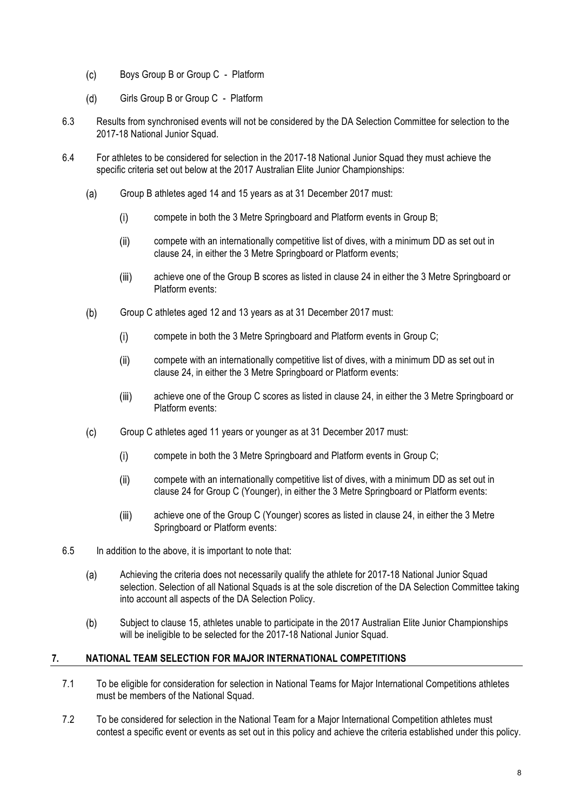- $(c)$ Boys Group B or Group C - Platform
- $(d)$ Girls Group B or Group C - Platform
- 6.3 Results from synchronised events will not be considered by the DA Selection Committee for selection to the 2017-18 National Junior Squad.
- 6.4 For athletes to be considered for selection in the 2017-18 National Junior Squad they must achieve the specific criteria set out below at the 2017 Australian Elite Junior Championships:
	- Group B athletes aged 14 and 15 years as at 31 December 2017 must:  $(a)$ 
		- $(i)$ compete in both the 3 Metre Springboard and Platform events in Group B;
		- $(ii)$ compete with an internationally competitive list of dives, with a minimum DD as set out in clause 24, in either the 3 Metre Springboard or Platform events;
		- achieve one of the Group B scores as listed in clause 24 in either the 3 Metre Springboard or  $(iii)$ Platform events:
	- $(b)$ Group C athletes aged 12 and 13 years as at 31 December 2017 must:
		- $(i)$ compete in both the 3 Metre Springboard and Platform events in Group C;
		- $(ii)$ compete with an internationally competitive list of dives, with a minimum DD as set out in clause 24, in either the 3 Metre Springboard or Platform events:
		- achieve one of the Group C scores as listed in clause 24, in either the 3 Metre Springboard or  $(iii)$ Platform events:
	- $(c)$ Group C athletes aged 11 years or younger as at 31 December 2017 must:
		- $(i)$ compete in both the 3 Metre Springboard and Platform events in Group C;
		- $(ii)$ compete with an internationally competitive list of dives, with a minimum DD as set out in clause 24 for Group C (Younger), in either the 3 Metre Springboard or Platform events:
		- $(iii)$ achieve one of the Group C (Younger) scores as listed in clause 24, in either the 3 Metre Springboard or Platform events:
- 6.5 In addition to the above, it is important to note that:
	- $(a)$ Achieving the criteria does not necessarily qualify the athlete for 2017-18 National Junior Squad selection. Selection of all National Squads is at the sole discretion of the DA Selection Committee taking into account all aspects of the DA Selection Policy.
	- $(b)$ Subject to clause 15, athletes unable to participate in the 2017 Australian Elite Junior Championships will be ineligible to be selected for the 2017-18 National Junior Squad.

#### **7. NATIONAL TEAM SELECTION FOR MAJOR INTERNATIONAL COMPETITIONS**

- 7.1 To be eligible for consideration for selection in National Teams for Major International Competitions athletes must be members of the National Squad.
- 7.2 To be considered for selection in the National Team for a Major International Competition athletes must contest a specific event or events as set out in this policy and achieve the criteria established under this policy.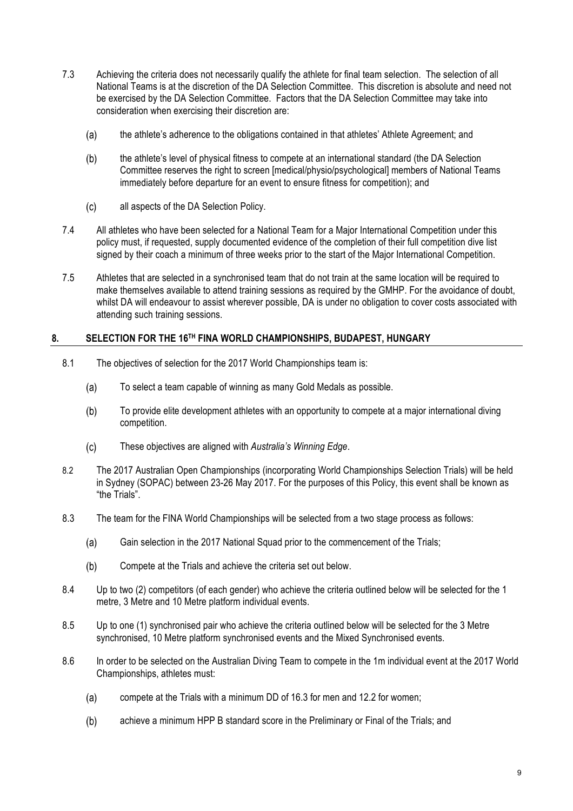- 7.3 Achieving the criteria does not necessarily qualify the athlete for final team selection. The selection of all National Teams is at the discretion of the DA Selection Committee. This discretion is absolute and need not be exercised by the DA Selection Committee. Factors that the DA Selection Committee may take into consideration when exercising their discretion are:
	- the athlete's adherence to the obligations contained in that athletes' Athlete Agreement; and  $(a)$
	- $(b)$ the athlete's level of physical fitness to compete at an international standard (the DA Selection Committee reserves the right to screen [medical/physio/psychological] members of National Teams immediately before departure for an event to ensure fitness for competition); and
	- $(c)$ all aspects of the DA Selection Policy.
- 7.4 All athletes who have been selected for a National Team for a Major International Competition under this policy must, if requested, supply documented evidence of the completion of their full competition dive list signed by their coach a minimum of three weeks prior to the start of the Major International Competition.
- 7.5 Athletes that are selected in a synchronised team that do not train at the same location will be required to make themselves available to attend training sessions as required by the GMHP. For the avoidance of doubt, whilst DA will endeavour to assist wherever possible. DA is under no obligation to cover costs associated with attending such training sessions.

#### **8. SELECTION FOR THE 16TH FINA WORLD CHAMPIONSHIPS, BUDAPEST, HUNGARY**

- 8.1 The objectives of selection for the 2017 World Championships team is:
	- $(a)$ To select a team capable of winning as many Gold Medals as possible.
	- $(b)$ To provide elite development athletes with an opportunity to compete at a major international diving competition.
	- $(c)$ These objectives are aligned with *Australia's Winning Edge*.
- 8.2 The 2017 Australian Open Championships (incorporating World Championships Selection Trials) will be held in Sydney (SOPAC) between 23-26 May 2017. For the purposes of this Policy, this event shall be known as "the Trials".
- 8.3 The team for the FINA World Championships will be selected from a two stage process as follows:
	- $(a)$ Gain selection in the 2017 National Squad prior to the commencement of the Trials;
	- $(b)$ Compete at the Trials and achieve the criteria set out below.
- 8.4 Up to two (2) competitors (of each gender) who achieve the criteria outlined below will be selected for the 1 metre, 3 Metre and 10 Metre platform individual events.
- 8.5 Up to one (1) synchronised pair who achieve the criteria outlined below will be selected for the 3 Metre synchronised, 10 Metre platform synchronised events and the Mixed Synchronised events.
- 8.6 In order to be selected on the Australian Diving Team to compete in the 1m individual event at the 2017 World Championships, athletes must:
	- $(a)$ compete at the Trials with a minimum DD of 16.3 for men and 12.2 for women;
	- $(b)$ achieve a minimum HPP B standard score in the Preliminary or Final of the Trials; and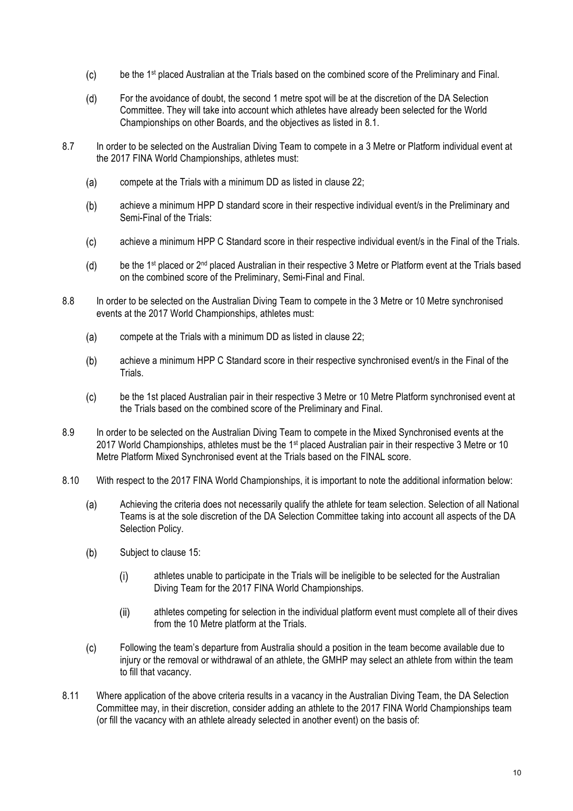- $(c)$ be the 1<sup>st</sup> placed Australian at the Trials based on the combined score of the Preliminary and Final.
- $(d)$ For the avoidance of doubt, the second 1 metre spot will be at the discretion of the DA Selection Committee. They will take into account which athletes have already been selected for the World Championships on other Boards, and the objectives as listed in 8.1.
- 8.7 In order to be selected on the Australian Diving Team to compete in a 3 Metre or Platform individual event at the 2017 FINA World Championships, athletes must:
	- compete at the Trials with a minimum DD as listed in clause 22;  $(a)$
	- $(b)$ achieve a minimum HPP D standard score in their respective individual event/s in the Preliminary and Semi-Final of the Trials:
	- $(c)$ achieve a minimum HPP C Standard score in their respective individual event/s in the Final of the Trials.
	- be the 1<sup>st</sup> placed or 2<sup>nd</sup> placed Australian in their respective 3 Metre or Platform event at the Trials based  $(d)$ on the combined score of the Preliminary, Semi-Final and Final.
- 8.8 In order to be selected on the Australian Diving Team to compete in the 3 Metre or 10 Metre synchronised events at the 2017 World Championships, athletes must:
	- compete at the Trials with a minimum DD as listed in clause 22;  $(a)$
	- achieve a minimum HPP C Standard score in their respective synchronised event/s in the Final of the  $(b)$ Trials.
	- $(c)$ be the 1st placed Australian pair in their respective 3 Metre or 10 Metre Platform synchronised event at the Trials based on the combined score of the Preliminary and Final.
- 8.9 In order to be selected on the Australian Diving Team to compete in the Mixed Synchronised events at the 2017 World Championships, athletes must be the 1<sup>st</sup> placed Australian pair in their respective 3 Metre or 10 Metre Platform Mixed Synchronised event at the Trials based on the FINAL score.
- 8.10 With respect to the 2017 FINA World Championships, it is important to note the additional information below:
	- Achieving the criteria does not necessarily qualify the athlete for team selection. Selection of all National  $(a)$ Teams is at the sole discretion of the DA Selection Committee taking into account all aspects of the DA Selection Policy.
	- $(b)$ Subject to clause 15:
		- athletes unable to participate in the Trials will be ineligible to be selected for the Australian  $(i)$ Diving Team for the 2017 FINA World Championships.
		- athletes competing for selection in the individual platform event must complete all of their dives  $(ii)$ from the 10 Metre platform at the Trials.
	- $(c)$ Following the team's departure from Australia should a position in the team become available due to injury or the removal or withdrawal of an athlete, the GMHP may select an athlete from within the team to fill that vacancy.
- 8.11 Where application of the above criteria results in a vacancy in the Australian Diving Team, the DA Selection Committee may, in their discretion, consider adding an athlete to the 2017 FINA World Championships team (or fill the vacancy with an athlete already selected in another event) on the basis of: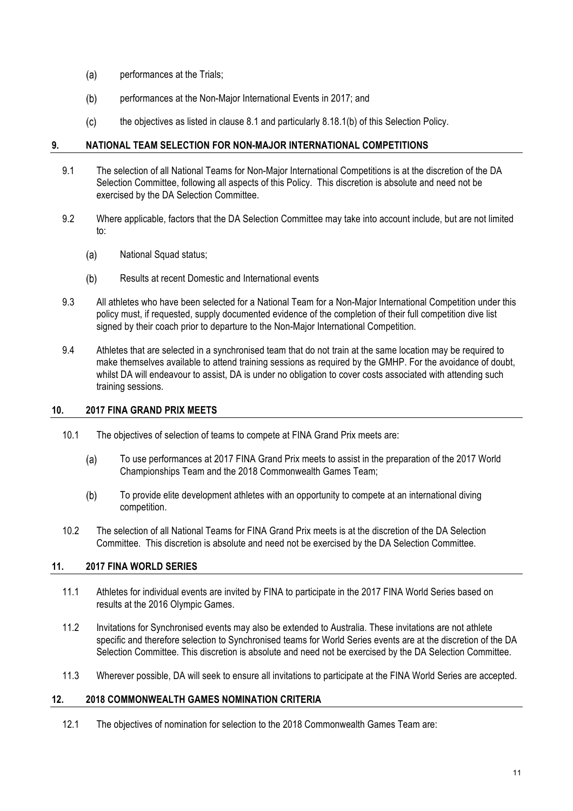- $(a)$ performances at the Trials;
- $(b)$ performances at the Non-Major International Events in 2017; and
- the objectives as listed in clause 8.1 and particularly 8.18.1(b) of this Selection Policy.  $(c)$

#### **9. NATIONAL TEAM SELECTION FOR NON-MAJOR INTERNATIONAL COMPETITIONS**

- 9.1 The selection of all National Teams for Non-Major International Competitions is at the discretion of the DA Selection Committee, following all aspects of this Policy. This discretion is absolute and need not be exercised by the DA Selection Committee.
- 9.2 Where applicable, factors that the DA Selection Committee may take into account include, but are not limited to:
	- $(a)$ National Squad status;
	- $(b)$ Results at recent Domestic and International events
- 9.3 All athletes who have been selected for a National Team for a Non-Major International Competition under this policy must, if requested, supply documented evidence of the completion of their full competition dive list signed by their coach prior to departure to the Non-Major International Competition.
- 9.4 Athletes that are selected in a synchronised team that do not train at the same location may be required to make themselves available to attend training sessions as required by the GMHP. For the avoidance of doubt, whilst DA will endeavour to assist, DA is under no obligation to cover costs associated with attending such training sessions.

#### **10. 2017 FINA GRAND PRIX MEETS**

- 10.1 The objectives of selection of teams to compete at FINA Grand Prix meets are:
	- $(a)$ To use performances at 2017 FINA Grand Prix meets to assist in the preparation of the 2017 World Championships Team and the 2018 Commonwealth Games Team;
	- To provide elite development athletes with an opportunity to compete at an international diving  $(b)$ competition.
- 10.2 The selection of all National Teams for FINA Grand Prix meets is at the discretion of the DA Selection Committee. This discretion is absolute and need not be exercised by the DA Selection Committee.

### **11. 2017 FINA WORLD SERIES**

- 11.1 Athletes for individual events are invited by FINA to participate in the 2017 FINA World Series based on results at the 2016 Olympic Games.
- 11.2 Invitations for Synchronised events may also be extended to Australia. These invitations are not athlete specific and therefore selection to Synchronised teams for World Series events are at the discretion of the DA Selection Committee. This discretion is absolute and need not be exercised by the DA Selection Committee.
- 11.3 Wherever possible, DA will seek to ensure all invitations to participate at the FINA World Series are accepted.

#### **12. 2018 COMMONWEALTH GAMES NOMINATION CRITERIA**

12.1 The objectives of nomination for selection to the 2018 Commonwealth Games Team are: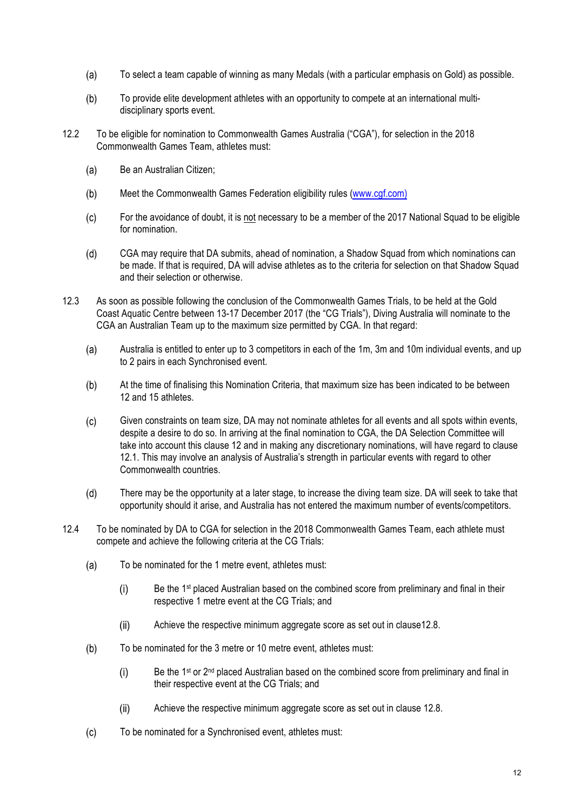- $(a)$ To select a team capable of winning as many Medals (with a particular emphasis on Gold) as possible.
- $(b)$ To provide elite development athletes with an opportunity to compete at an international multidisciplinary sports event.
- 12.2 To be eligible for nomination to Commonwealth Games Australia ("CGA"), for selection in the 2018 Commonwealth Games Team, athletes must:
	- $(a)$ Be an Australian Citizen;
	- $(b)$ Meet the Commonwealth Games Federation eligibility rules (www.cgf.com)
	- $(c)$ For the avoidance of doubt, it is not necessary to be a member of the 2017 National Squad to be eligible for nomination.
	- $(d)$ CGA may require that DA submits, ahead of nomination, a Shadow Squad from which nominations can be made. If that is required, DA will advise athletes as to the criteria for selection on that Shadow Squad and their selection or otherwise.
- 12.3 As soon as possible following the conclusion of the Commonwealth Games Trials, to be held at the Gold Coast Aquatic Centre between 13-17 December 2017 (the "CG Trials"), Diving Australia will nominate to the CGA an Australian Team up to the maximum size permitted by CGA. In that regard:
	- $(a)$ Australia is entitled to enter up to 3 competitors in each of the 1m, 3m and 10m individual events, and up to 2 pairs in each Synchronised event.
	- $(b)$ At the time of finalising this Nomination Criteria, that maximum size has been indicated to be between 12 and 15 athletes.
	- $(c)$ Given constraints on team size, DA may not nominate athletes for all events and all spots within events, despite a desire to do so. In arriving at the final nomination to CGA, the DA Selection Committee will take into account this clause 12 and in making any discretionary nominations, will have regard to clause 12.1. This may involve an analysis of Australia's strength in particular events with regard to other Commonwealth countries.
	- $(d)$ There may be the opportunity at a later stage, to increase the diving team size. DA will seek to take that opportunity should it arise, and Australia has not entered the maximum number of events/competitors.
- 12.4 To be nominated by DA to CGA for selection in the 2018 Commonwealth Games Team, each athlete must compete and achieve the following criteria at the CG Trials:
	- To be nominated for the 1 metre event, athletes must:  $(a)$ 
		- $(i)$ Be the 1<sup>st</sup> placed Australian based on the combined score from preliminary and final in their respective 1 metre event at the CG Trials; and
		- $(ii)$ Achieve the respective minimum aggregate score as set out in clause12.8.
	- $(b)$ To be nominated for the 3 metre or 10 metre event, athletes must:
		- Be the 1<sup>st</sup> or 2<sup>nd</sup> placed Australian based on the combined score from preliminary and final in  $(i)$ their respective event at the CG Trials; and
		- $(ii)$ Achieve the respective minimum aggregate score as set out in clause 12.8.
	- $(c)$ To be nominated for a Synchronised event, athletes must: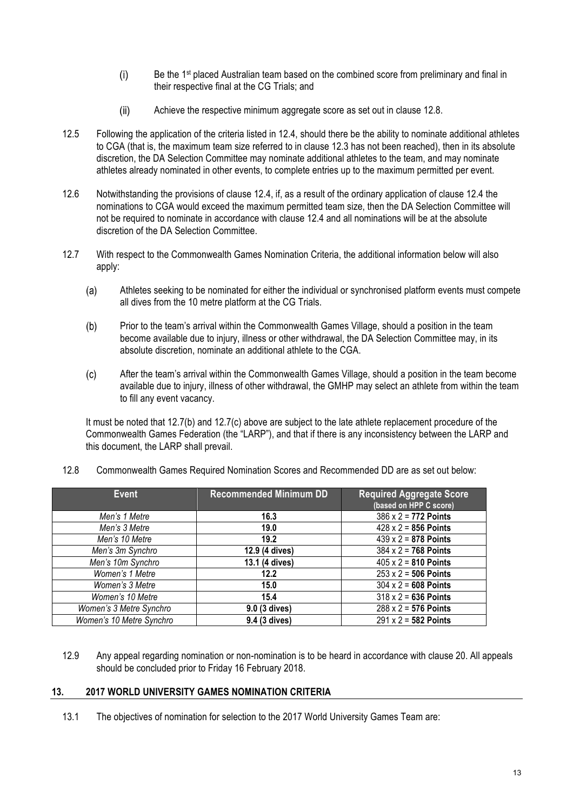- $(i)$ Be the 1<sup>st</sup> placed Australian team based on the combined score from preliminary and final in their respective final at the CG Trials; and
- $(ii)$ Achieve the respective minimum aggregate score as set out in clause 12.8.
- 12.5 Following the application of the criteria listed in 12.4, should there be the ability to nominate additional athletes to CGA (that is, the maximum team size referred to in clause 12.3 has not been reached), then in its absolute discretion, the DA Selection Committee may nominate additional athletes to the team, and may nominate athletes already nominated in other events, to complete entries up to the maximum permitted per event.
- 12.6 Notwithstanding the provisions of clause 12.4, if, as a result of the ordinary application of clause 12.4 the nominations to CGA would exceed the maximum permitted team size, then the DA Selection Committee will not be required to nominate in accordance with clause 12.4 and all nominations will be at the absolute discretion of the DA Selection Committee.
- 12.7 With respect to the Commonwealth Games Nomination Criteria, the additional information below will also apply:
	- Athletes seeking to be nominated for either the individual or synchronised platform events must compete  $(a)$ all dives from the 10 metre platform at the CG Trials.
	- Prior to the team's arrival within the Commonwealth Games Village, should a position in the team  $(b)$ become available due to injury, illness or other withdrawal, the DA Selection Committee may, in its absolute discretion, nominate an additional athlete to the CGA.
	- $(c)$ After the team's arrival within the Commonwealth Games Village, should a position in the team become available due to injury, illness of other withdrawal, the GMHP may select an athlete from within the team to fill any event vacancy.

It must be noted that 12.7(b) and 12.7(c) above are subject to the late athlete replacement procedure of the Commonwealth Games Federation (the "LARP"), and that if there is any inconsistency between the LARP and this document, the LARP shall prevail.

| Event                    | <b>Recommended Minimum DD</b> | <b>Required Aggregate Score</b><br>(based on HPP C score) |
|--------------------------|-------------------------------|-----------------------------------------------------------|
| Men's 1 Metre            | 16.3                          | $386 \times 2 = 772$ Points                               |
| Men's 3 Metre            | 19.0                          | $428 \times 2 = 856$ Points                               |
| Men's 10 Metre           | 19.2                          | $439 \times 2 = 878$ Points                               |
| Men's 3m Synchro         | 12.9 (4 dives)                | $384 \times 2 = 768$ Points                               |
| Men's 10m Synchro        | 13.1 (4 dives)                | $405 \times 2 = 810$ Points                               |
| Women's 1 Metre          | 12.2                          | $253 \times 2 = 506$ Points                               |
| Women's 3 Metre          | 15.0                          | $304 \times 2 = 608$ Points                               |
| Women's 10 Metre         | 15.4                          | $318 \times 2 = 636$ Points                               |
| Women's 3 Metre Synchro  | 9.0 (3 dives)                 | $288 \times 2 = 576$ Points                               |
| Women's 10 Metre Synchro | 9.4 (3 dives)                 | $291 \times 2 = 582$ Points                               |

12.8 Commonwealth Games Required Nomination Scores and Recommended DD are as set out below:

12.9 Any appeal regarding nomination or non-nomination is to be heard in accordance with clause 20. All appeals should be concluded prior to Friday 16 February 2018.

#### **13. 2017 WORLD UNIVERSITY GAMES NOMINATION CRITERIA**

13.1 The objectives of nomination for selection to the 2017 World University Games Team are: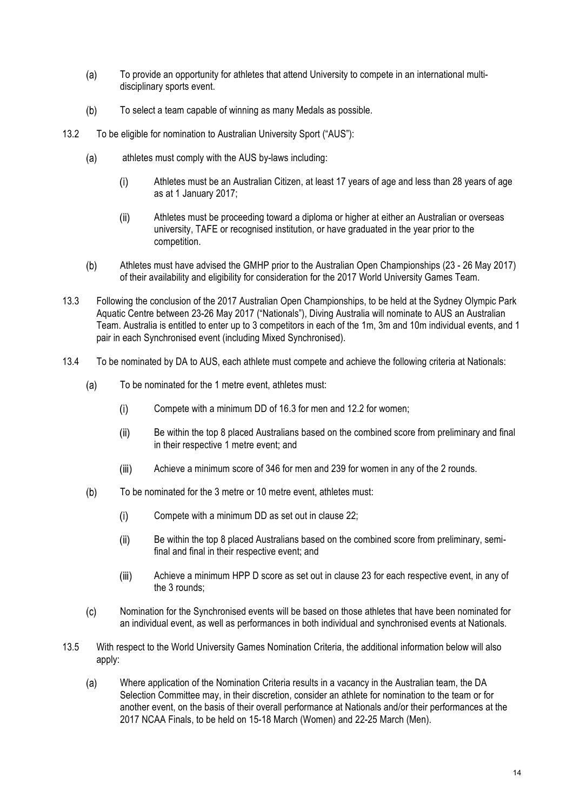- To provide an opportunity for athletes that attend University to compete in an international multi- $(a)$ disciplinary sports event.
- To select a team capable of winning as many Medals as possible.  $(b)$
- 13.2 To be eligible for nomination to Australian University Sport ("AUS"):
	- athletes must comply with the AUS by-laws including:  $(a)$ 
		- $(i)$ Athletes must be an Australian Citizen, at least 17 years of age and less than 28 years of age as at 1 January 2017;
		- $(ii)$ Athletes must be proceeding toward a diploma or higher at either an Australian or overseas university, TAFE or recognised institution, or have graduated in the year prior to the competition.
	- $(b)$ Athletes must have advised the GMHP prior to the Australian Open Championships (23 - 26 May 2017) of their availability and eligibility for consideration for the 2017 World University Games Team.
- 13.3 Following the conclusion of the 2017 Australian Open Championships, to be held at the Sydney Olympic Park Aquatic Centre between 23-26 May 2017 ("Nationals"), Diving Australia will nominate to AUS an Australian Team. Australia is entitled to enter up to 3 competitors in each of the 1m, 3m and 10m individual events, and 1 pair in each Synchronised event (including Mixed Synchronised).
- 13.4 To be nominated by DA to AUS, each athlete must compete and achieve the following criteria at Nationals:
	- $(a)$ To be nominated for the 1 metre event, athletes must:
		- $(i)$ Compete with a minimum DD of 16.3 for men and 12.2 for women;
		- $(iii)$ Be within the top 8 placed Australians based on the combined score from preliminary and final in their respective 1 metre event; and
		- $(iii)$ Achieve a minimum score of 346 for men and 239 for women in any of the 2 rounds.
	- $(b)$ To be nominated for the 3 metre or 10 metre event, athletes must:
		- Compete with a minimum DD as set out in clause 22;  $(i)$
		- $(ii)$ Be within the top 8 placed Australians based on the combined score from preliminary, semifinal and final in their respective event; and
		- $(iii)$ Achieve a minimum HPP D score as set out in clause 23 for each respective event, in any of the 3 rounds;
	- $(c)$ Nomination for the Synchronised events will be based on those athletes that have been nominated for an individual event, as well as performances in both individual and synchronised events at Nationals.
- 13.5 With respect to the World University Games Nomination Criteria, the additional information below will also apply:
	- $(a)$ Where application of the Nomination Criteria results in a vacancy in the Australian team, the DA Selection Committee may, in their discretion, consider an athlete for nomination to the team or for another event, on the basis of their overall performance at Nationals and/or their performances at the 2017 NCAA Finals, to be held on 15-18 March (Women) and 22-25 March (Men).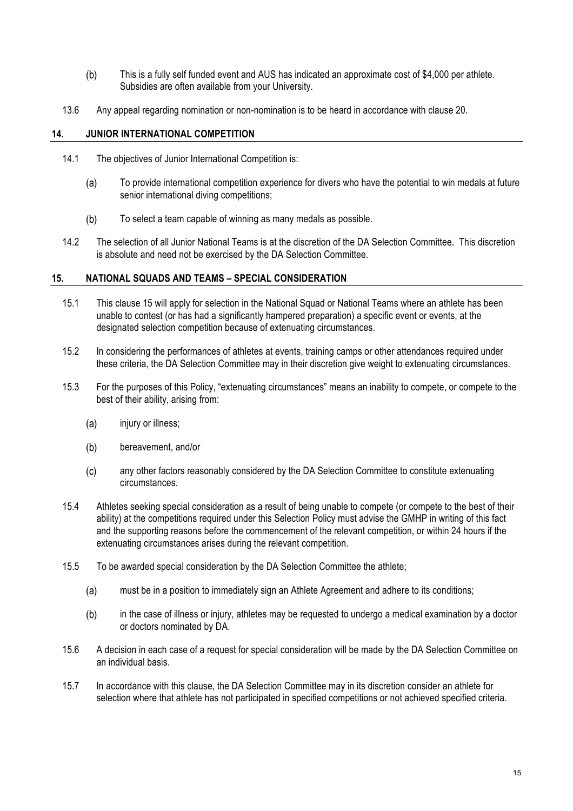- $(b)$ This is a fully self funded event and AUS has indicated an approximate cost of \$4,000 per athlete. Subsidies are often available from your University.
- 13.6 Any appeal regarding nomination or non-nomination is to be heard in accordance with clause 20.

#### **14. JUNIOR INTERNATIONAL COMPETITION**

- 14.1 The objectives of Junior International Competition is:
	- $(a)$ To provide international competition experience for divers who have the potential to win medals at future senior international diving competitions;
	- $(b)$ To select a team capable of winning as many medals as possible.
- 14.2 The selection of all Junior National Teams is at the discretion of the DA Selection Committee. This discretion is absolute and need not be exercised by the DA Selection Committee.

#### **15. NATIONAL SQUADS AND TEAMS – SPECIAL CONSIDERATION**

- 15.1 This clause 15 will apply for selection in the National Squad or National Teams where an athlete has been unable to contest (or has had a significantly hampered preparation) a specific event or events, at the designated selection competition because of extenuating circumstances.
- 15.2 In considering the performances of athletes at events, training camps or other attendances required under these criteria, the DA Selection Committee may in their discretion give weight to extenuating circumstances.
- 15.3 For the purposes of this Policy, "extenuating circumstances" means an inability to compete, or compete to the best of their ability, arising from:
	- $(a)$ injury or illness;
	- $(b)$ bereavement, and/or
	- $(c)$ any other factors reasonably considered by the DA Selection Committee to constitute extenuating circumstances.
- 15.4 Athletes seeking special consideration as a result of being unable to compete (or compete to the best of their ability) at the competitions required under this Selection Policy must advise the GMHP in writing of this fact and the supporting reasons before the commencement of the relevant competition, or within 24 hours if the extenuating circumstances arises during the relevant competition.
- 15.5 To be awarded special consideration by the DA Selection Committee the athlete;
	- $(a)$ must be in a position to immediately sign an Athlete Agreement and adhere to its conditions;
	- $(b)$ in the case of illness or injury, athletes may be requested to undergo a medical examination by a doctor or doctors nominated by DA.
- 15.6 A decision in each case of a request for special consideration will be made by the DA Selection Committee on an individual basis.
- 15.7 In accordance with this clause, the DA Selection Committee may in its discretion consider an athlete for selection where that athlete has not participated in specified competitions or not achieved specified criteria.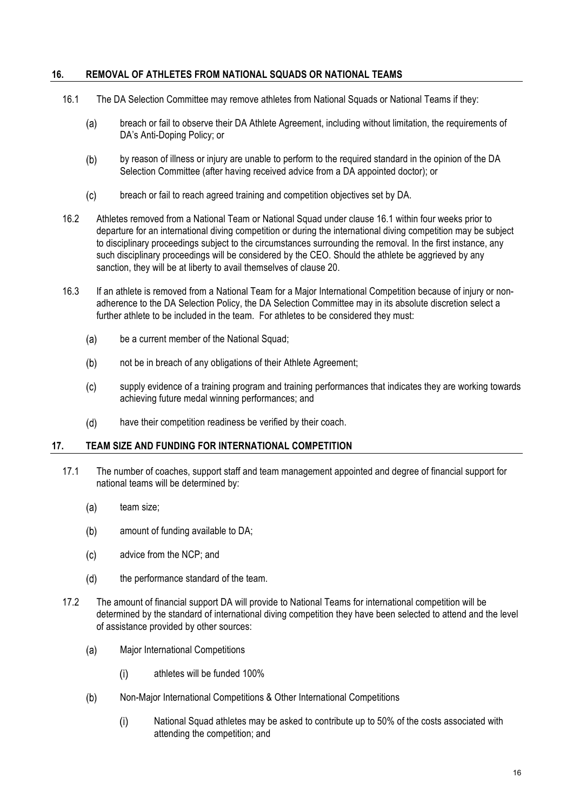#### **16. REMOVAL OF ATHLETES FROM NATIONAL SQUADS OR NATIONAL TEAMS**

- 16.1 The DA Selection Committee may remove athletes from National Squads or National Teams if they:
	- $(a)$ breach or fail to observe their DA Athlete Agreement, including without limitation, the requirements of DA's Anti-Doping Policy; or
	- $(b)$ by reason of illness or injury are unable to perform to the required standard in the opinion of the DA Selection Committee (after having received advice from a DA appointed doctor); or
	- $(c)$ breach or fail to reach agreed training and competition objectives set by DA.
- 16.2 Athletes removed from a National Team or National Squad under clause 16.1 within four weeks prior to departure for an international diving competition or during the international diving competition may be subject to disciplinary proceedings subject to the circumstances surrounding the removal. In the first instance, any such disciplinary proceedings will be considered by the CEO. Should the athlete be aggrieved by any sanction, they will be at liberty to avail themselves of clause 20.
- 16.3 If an athlete is removed from a National Team for a Major International Competition because of injury or nonadherence to the DA Selection Policy, the DA Selection Committee may in its absolute discretion select a further athlete to be included in the team. For athletes to be considered they must:
	- be a current member of the National Squad:  $(a)$
	- not be in breach of any obligations of their Athlete Agreement;  $(b)$
	- $(c)$ supply evidence of a training program and training performances that indicates they are working towards achieving future medal winning performances; and
	- $(d)$ have their competition readiness be verified by their coach.

#### **17. TEAM SIZE AND FUNDING FOR INTERNATIONAL COMPETITION**

- 17.1 The number of coaches, support staff and team management appointed and degree of financial support for national teams will be determined by:
	- $(a)$ team size;
	- $(b)$ amount of funding available to DA;
	- $(c)$ advice from the NCP; and
	- $(d)$ the performance standard of the team.
- 17.2 The amount of financial support DA will provide to National Teams for international competition will be determined by the standard of international diving competition they have been selected to attend and the level of assistance provided by other sources:
	- $(a)$ Major International Competitions
		- $(i)$ athletes will be funded 100%
	- $(b)$ Non-Major International Competitions & Other International Competitions
		- National Squad athletes may be asked to contribute up to 50% of the costs associated with  $(i)$ attending the competition; and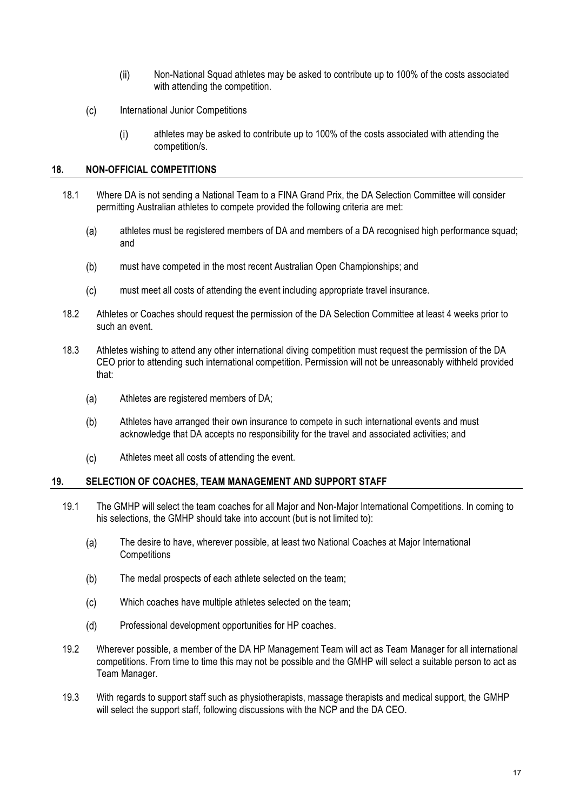- $(ii)$ Non-National Squad athletes may be asked to contribute up to 100% of the costs associated with attending the competition.
- $(c)$ International Junior Competitions
	- athletes may be asked to contribute up to 100% of the costs associated with attending the  $(i)$ competition/s.

#### **18. NON-OFFICIAL COMPETITIONS**

- 18.1 Where DA is not sending a National Team to a FINA Grand Prix, the DA Selection Committee will consider permitting Australian athletes to compete provided the following criteria are met:
	- athletes must be registered members of DA and members of a DA recognised high performance squad;  $(a)$ and
	- $(b)$ must have competed in the most recent Australian Open Championships; and
	- $(c)$ must meet all costs of attending the event including appropriate travel insurance.
- 18.2 Athletes or Coaches should request the permission of the DA Selection Committee at least 4 weeks prior to such an event.
- 18.3 Athletes wishing to attend any other international diving competition must request the permission of the DA CEO prior to attending such international competition. Permission will not be unreasonably withheld provided that:
	- $(a)$ Athletes are registered members of DA;
	- $(b)$ Athletes have arranged their own insurance to compete in such international events and must acknowledge that DA accepts no responsibility for the travel and associated activities; and
	- $(c)$ Athletes meet all costs of attending the event.

### **19. SELECTION OF COACHES, TEAM MANAGEMENT AND SUPPORT STAFF**

- 19.1 The GMHP will select the team coaches for all Major and Non-Major International Competitions. In coming to his selections, the GMHP should take into account (but is not limited to):
	- $(a)$ The desire to have, wherever possible, at least two National Coaches at Major International **Competitions**
	- $(b)$ The medal prospects of each athlete selected on the team;
	- $(c)$ Which coaches have multiple athletes selected on the team;
	- $(d)$ Professional development opportunities for HP coaches.
- 19.2 Wherever possible, a member of the DA HP Management Team will act as Team Manager for all international competitions. From time to time this may not be possible and the GMHP will select a suitable person to act as Team Manager.
- 19.3 With regards to support staff such as physiotherapists, massage therapists and medical support, the GMHP will select the support staff, following discussions with the NCP and the DA CEO.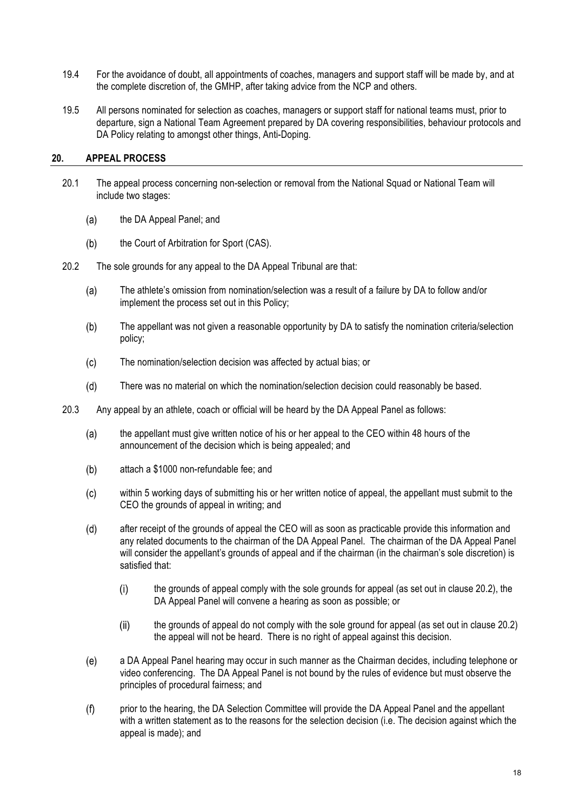- 19.4 For the avoidance of doubt, all appointments of coaches, managers and support staff will be made by, and at the complete discretion of, the GMHP, after taking advice from the NCP and others.
- 19.5 All persons nominated for selection as coaches, managers or support staff for national teams must, prior to departure, sign a National Team Agreement prepared by DA covering responsibilities, behaviour protocols and DA Policy relating to amongst other things, Anti-Doping.

#### **20. APPEAL PROCESS**

- 20.1 The appeal process concerning non-selection or removal from the National Squad or National Team will include two stages:
	- $(a)$ the DA Appeal Panel; and
	- $(b)$ the Court of Arbitration for Sport (CAS).
- 20.2 The sole grounds for any appeal to the DA Appeal Tribunal are that:
	- The athlete's omission from nomination/selection was a result of a failure by DA to follow and/or  $(a)$ implement the process set out in this Policy;
	- $(b)$ The appellant was not given a reasonable opportunity by DA to satisfy the nomination criteria/selection policy;
	- $(c)$ The nomination/selection decision was affected by actual bias; or
	- $(d)$ There was no material on which the nomination/selection decision could reasonably be based.
- 20.3 Any appeal by an athlete, coach or official will be heard by the DA Appeal Panel as follows:
	- $(a)$ the appellant must give written notice of his or her appeal to the CEO within 48 hours of the announcement of the decision which is being appealed; and
	- $(b)$ attach a \$1000 non-refundable fee; and
	- $(c)$ within 5 working days of submitting his or her written notice of appeal, the appellant must submit to the CEO the grounds of appeal in writing; and
	- $(d)$ after receipt of the grounds of appeal the CEO will as soon as practicable provide this information and any related documents to the chairman of the DA Appeal Panel. The chairman of the DA Appeal Panel will consider the appellant's grounds of appeal and if the chairman (in the chairman's sole discretion) is satisfied that:
		- $(i)$ the grounds of appeal comply with the sole grounds for appeal (as set out in clause 20.2), the DA Appeal Panel will convene a hearing as soon as possible; or
		- $(ii)$ the grounds of appeal do not comply with the sole ground for appeal (as set out in clause 20.2) the appeal will not be heard. There is no right of appeal against this decision.
	- $(e)$ a DA Appeal Panel hearing may occur in such manner as the Chairman decides, including telephone or video conferencing. The DA Appeal Panel is not bound by the rules of evidence but must observe the principles of procedural fairness; and
	- $(f)$ prior to the hearing, the DA Selection Committee will provide the DA Appeal Panel and the appellant with a written statement as to the reasons for the selection decision (i.e. The decision against which the appeal is made); and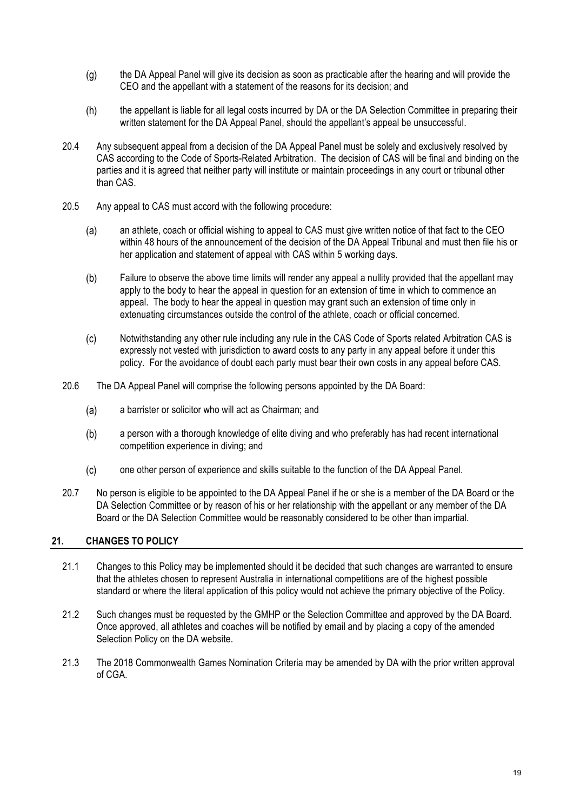- the DA Appeal Panel will give its decision as soon as practicable after the hearing and will provide the  $(g)$ CEO and the appellant with a statement of the reasons for its decision; and
- the appellant is liable for all legal costs incurred by DA or the DA Selection Committee in preparing their  $(h)$ written statement for the DA Appeal Panel, should the appellant's appeal be unsuccessful.
- 20.4 Any subsequent appeal from a decision of the DA Appeal Panel must be solely and exclusively resolved by CAS according to the Code of Sports-Related Arbitration. The decision of CAS will be final and binding on the parties and it is agreed that neither party will institute or maintain proceedings in any court or tribunal other than CAS.
- 20.5 Any appeal to CAS must accord with the following procedure:
	- $(a)$ an athlete, coach or official wishing to appeal to CAS must give written notice of that fact to the CEO within 48 hours of the announcement of the decision of the DA Appeal Tribunal and must then file his or her application and statement of appeal with CAS within 5 working days.
	- $(b)$ Failure to observe the above time limits will render any appeal a nullity provided that the appellant may apply to the body to hear the appeal in question for an extension of time in which to commence an appeal. The body to hear the appeal in question may grant such an extension of time only in extenuating circumstances outside the control of the athlete, coach or official concerned.
	- $(c)$ Notwithstanding any other rule including any rule in the CAS Code of Sports related Arbitration CAS is expressly not vested with jurisdiction to award costs to any party in any appeal before it under this policy. For the avoidance of doubt each party must bear their own costs in any appeal before CAS.
- 20.6 The DA Appeal Panel will comprise the following persons appointed by the DA Board:
	- a barrister or solicitor who will act as Chairman; and  $(a)$
	- $(b)$ a person with a thorough knowledge of elite diving and who preferably has had recent international competition experience in diving; and
	- one other person of experience and skills suitable to the function of the DA Appeal Panel.  $(c)$
- 20.7 No person is eligible to be appointed to the DA Appeal Panel if he or she is a member of the DA Board or the DA Selection Committee or by reason of his or her relationship with the appellant or any member of the DA Board or the DA Selection Committee would be reasonably considered to be other than impartial.

#### **21. CHANGES TO POLICY**

- 21.1 Changes to this Policy may be implemented should it be decided that such changes are warranted to ensure that the athletes chosen to represent Australia in international competitions are of the highest possible standard or where the literal application of this policy would not achieve the primary objective of the Policy.
- 21.2 Such changes must be requested by the GMHP or the Selection Committee and approved by the DA Board. Once approved, all athletes and coaches will be notified by email and by placing a copy of the amended Selection Policy on the DA website.
- 21.3 The 2018 Commonwealth Games Nomination Criteria may be amended by DA with the prior written approval of CGA.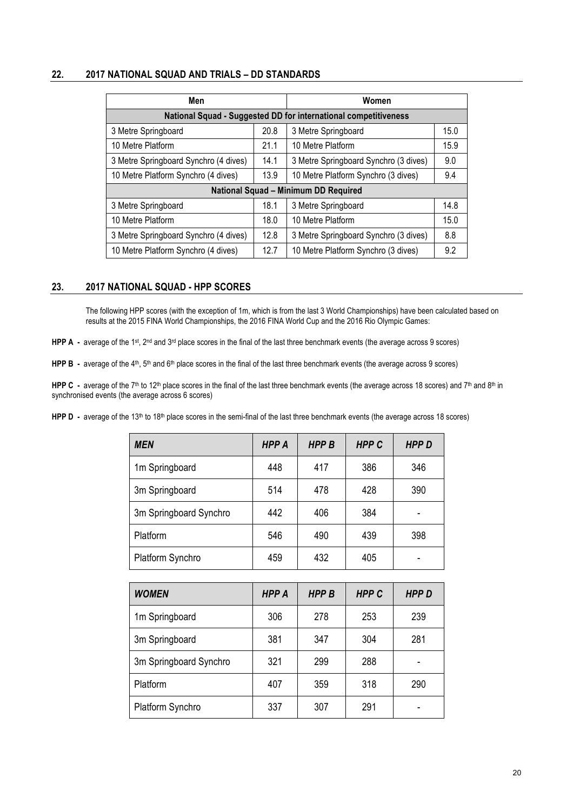#### **22. 2017 NATIONAL SQUAD AND TRIALS – DD STANDARDS**

| Men                                                             |      | Women                                 |      |
|-----------------------------------------------------------------|------|---------------------------------------|------|
| National Squad - Suggested DD for international competitiveness |      |                                       |      |
| 3 Metre Springboard                                             | 20.8 | 3 Metre Springboard                   | 15.0 |
| 10 Metre Platform                                               | 21.1 | 10 Metre Platform                     | 15.9 |
| 3 Metre Springboard Synchro (4 dives)                           | 14.1 | 3 Metre Springboard Synchro (3 dives) | 9.0  |
| 10 Metre Platform Synchro (4 dives)                             | 13.9 | 10 Metre Platform Synchro (3 dives)   | 9.4  |
| National Squad - Minimum DD Required                            |      |                                       |      |
| 3 Metre Springboard                                             | 18.1 | 3 Metre Springboard                   | 14.8 |
| 10 Metre Platform                                               | 18.0 | 10 Metre Platform                     | 15.0 |
| 3 Metre Springboard Synchro (4 dives)                           | 12.8 | 3 Metre Springboard Synchro (3 dives) | 8.8  |
| 10 Metre Platform Synchro (4 dives)                             | 12.7 | 10 Metre Platform Synchro (3 dives)   | 9.2  |

#### **23. 2017 NATIONAL SQUAD - HPP SCORES**

The following HPP scores (with the exception of 1m, which is from the last 3 World Championships) have been calculated based on results at the 2015 FINA World Championships, the 2016 FINA World Cup and the 2016 Rio Olympic Games:

**HPP A** - average of the 1st, 2nd and 3rd place scores in the final of the last three benchmark events (the average across 9 scores)

**HPP B** - average of the 4<sup>th</sup>, 5<sup>th</sup> and 6<sup>th</sup> place scores in the final of the last three benchmark events (the average across 9 scores)

HPP C - average of the 7<sup>th</sup> to 12<sup>th</sup> place scores in the final of the last three benchmark events (the average across 18 scores) and 7<sup>th</sup> and 8<sup>th</sup> in synchronised events (the average across 6 scores)

**HPP D** - average of the 13<sup>th</sup> to 18<sup>th</sup> place scores in the semi-final of the last three benchmark events (the average across 18 scores)

| <b>MEN</b>             | <b>HPP A</b> | <b>HPPB</b> | <b>HPPC</b> | <b>HPPD</b> |
|------------------------|--------------|-------------|-------------|-------------|
| 1m Springboard         | 448          | 417         | 386         | 346         |
| 3m Springboard         | 514          | 478         | 428         | 390         |
| 3m Springboard Synchro | 442          | 406         | 384         |             |
| Platform               | 546          | 490         | 439         | 398         |
| Platform Synchro       | 459          | 432         | 405         |             |

| <b>WOMEN</b>           | <b>HPP A</b> | <b>HPPB</b> | <b>HPPC</b> | <b>HPPD</b> |
|------------------------|--------------|-------------|-------------|-------------|
| 1m Springboard         | 306          | 278         | 253         | 239         |
| 3m Springboard         | 381          | 347         | 304         | 281         |
| 3m Springboard Synchro | 321          | 299         | 288         |             |
| Platform               | 407          | 359         | 318         | 290         |
| Platform Synchro       | 337          | 307         | 291         | ۰           |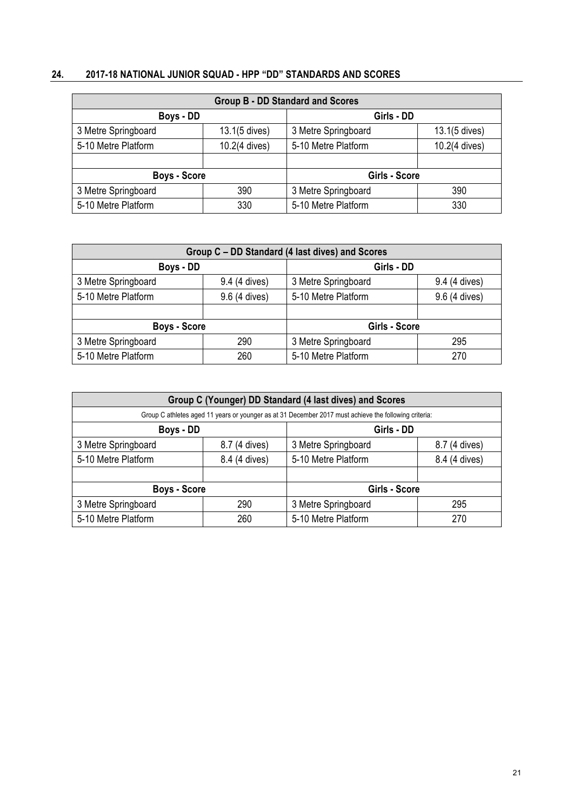# **24. 2017-18 NATIONAL JUNIOR SQUAD - HPP "DD" STANDARDS AND SCORES**

| <b>Group B - DD Standard and Scores</b> |               |                     |               |
|-----------------------------------------|---------------|---------------------|---------------|
| Boys - DD                               |               | Girls - DD          |               |
| 3 Metre Springboard                     | 13.1(5 dives) | 3 Metre Springboard | 13.1(5 dives) |
| 5-10 Metre Platform                     | 10.2(4 dives) | 5-10 Metre Platform | 10.2(4 dives) |
|                                         |               |                     |               |
| <b>Boys - Score</b>                     |               | Girls - Score       |               |
| 3 Metre Springboard                     | 390           | 3 Metre Springboard | 390           |
| 5-10 Metre Platform                     | 330           | 5-10 Metre Platform | 330           |

| Group C - DD Standard (4 last dives) and Scores |               |                     |               |
|-------------------------------------------------|---------------|---------------------|---------------|
| Boys - DD                                       |               | Girls - DD          |               |
| 3 Metre Springboard                             | 9.4 (4 dives) | 3 Metre Springboard | 9.4 (4 dives) |
| 5-10 Metre Platform                             | 9.6 (4 dives) | 5-10 Metre Platform | 9.6 (4 dives) |
|                                                 |               |                     |               |
| <b>Boys - Score</b>                             |               | Girls - Score       |               |
| 3 Metre Springboard                             | 290           | 3 Metre Springboard | 295           |
| 5-10 Metre Platform                             | 260           | 5-10 Metre Platform | 270           |

| Group C (Younger) DD Standard (4 last dives) and Scores                                               |               |                     |               |
|-------------------------------------------------------------------------------------------------------|---------------|---------------------|---------------|
| Group C athletes aged 11 years or younger as at 31 December 2017 must achieve the following criteria: |               |                     |               |
| Boys - DD                                                                                             |               | Girls - DD          |               |
| 3 Metre Springboard                                                                                   | 8.7 (4 dives) | 3 Metre Springboard | 8.7 (4 dives) |
| 5-10 Metre Platform                                                                                   | 8.4 (4 dives) | 5-10 Metre Platform | 8.4 (4 dives) |
|                                                                                                       |               |                     |               |
| <b>Boys - Score</b>                                                                                   |               | Girls - Score       |               |
| 3 Metre Springboard                                                                                   | 290           | 3 Metre Springboard | 295           |
| 5-10 Metre Platform                                                                                   | 260           | 5-10 Metre Platform | 270           |